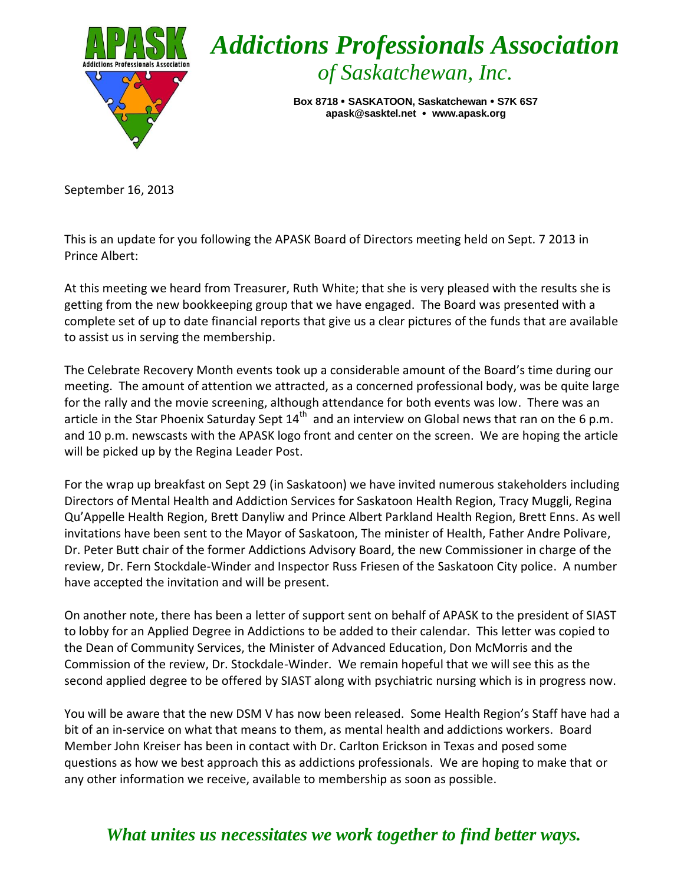

September 16, 2013

This is an update for you following the APASK Board of Directors meeting held on Sept. 7 2013 in Prince Albert:

At this meeting we heard from Treasurer, Ruth White; that she is very pleased with the results she is getting from the new bookkeeping group that we have engaged. The Board was presented with a complete set of up to date financial reports that give us a clear pictures of the funds that are available to assist us in serving the membership.

The Celebrate Recovery Month events took up a considerable amount of the Board's time during our meeting. The amount of attention we attracted, as a concerned professional body, was be quite large for the rally and the movie screening, although attendance for both events was low. There was an article in the Star Phoenix Saturday Sept  $14<sup>th</sup>$  and an interview on Global news that ran on the 6 p.m. and 10 p.m. newscasts with the APASK logo front and center on the screen. We are hoping the article will be picked up by the Regina Leader Post.

For the wrap up breakfast on Sept 29 (in Saskatoon) we have invited numerous stakeholders including Directors of Mental Health and Addiction Services for Saskatoon Health Region, Tracy Muggli, Regina Qu'Appelle Health Region, Brett Danyliw and Prince Albert Parkland Health Region, Brett Enns. As well invitations have been sent to the Mayor of Saskatoon, The minister of Health, Father Andre Polivare, Dr. Peter Butt chair of the former Addictions Advisory Board, the new Commissioner in charge of the review, Dr. Fern Stockdale-Winder and Inspector Russ Friesen of the Saskatoon City police. A number have accepted the invitation and will be present.

On another note, there has been a letter of support sent on behalf of APASK to the president of SIAST to lobby for an Applied Degree in Addictions to be added to their calendar. This letter was copied to the Dean of Community Services, the Minister of Advanced Education, Don McMorris and the Commission of the review, Dr. Stockdale-Winder. We remain hopeful that we will see this as the second applied degree to be offered by SIAST along with psychiatric nursing which is in progress now.

You will be aware that the new DSM V has now been released. Some Health Region's Staff have had a bit of an in-service on what that means to them, as mental health and addictions workers. Board Member John Kreiser has been in contact with Dr. Carlton Erickson in Texas and posed some questions as how we best approach this as addictions professionals. We are hoping to make that or any other information we receive, available to membership as soon as possible.

## *What unites us necessitates we work together to find better ways.*